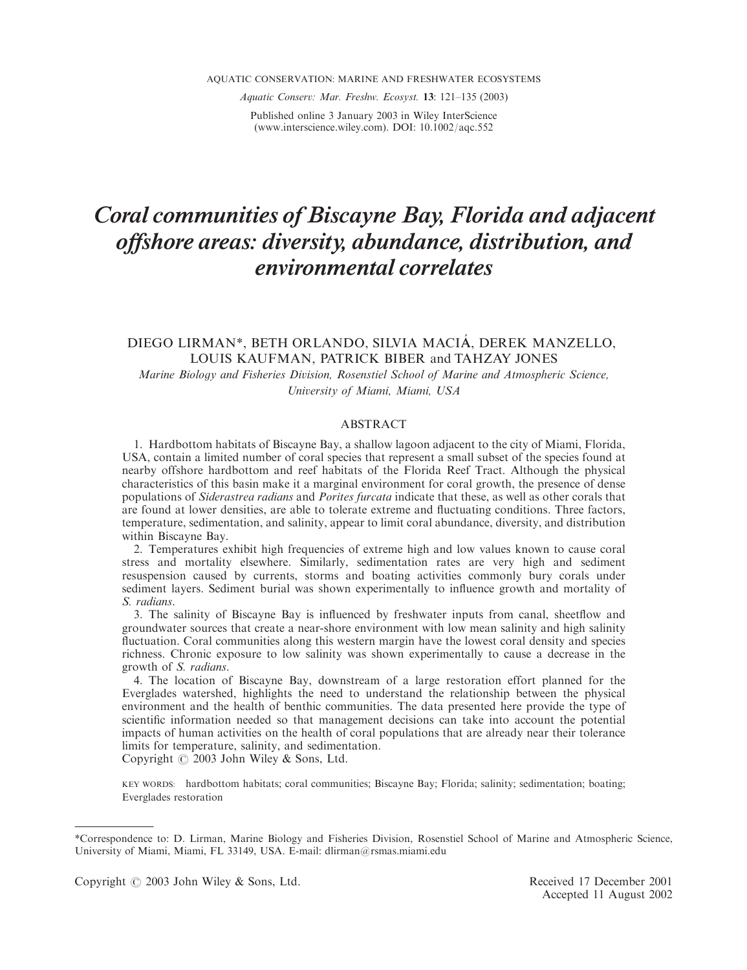Aquatic Conserv: Mar. Freshw. Ecosyst. 13: 121–135 (2003)

Published online 3 January 2003 in Wiley InterScience (www.interscience.wiley.com). DOI: 10.1002/aqc.552

# Coral communities of Biscayne Bay, Florida and adjacent offshore areas: diversity, abundance, distribution, and environmental correlates

# DIEGO LIRMAN\*, BETH ORLANDO, SILVIA MACIÁ, DEREK MANZELLO, LOUIS KAUFMAN, PATRICK BIBER and TAHZAY JONES

Marine Biology and Fisheries Division, Rosenstiel School of Marine and Atmospheric Science, University of Miami, Miami, USA

## ABSTRACT

1. Hardbottom habitats of Biscayne Bay, a shallow lagoon adjacent to the city of Miami, Florida, USA, contain a limited number of coral species that represent a small subset of the species found at nearby offshore hardbottom and reef habitats of the Florida Reef Tract. Although the physical characteristics of this basin make it a marginal environment for coral growth, the presence of dense populations of Siderastrea radians and Porites furcata indicate that these, as well as other corals that are found at lower densities, are able to tolerate extreme and fluctuating conditions. Three factors, temperature, sedimentation, and salinity, appear to limit coral abundance, diversity, and distribution within Biscayne Bay.

2. Temperatures exhibit high frequencies of extreme high and low values known to cause coral stress and mortality elsewhere. Similarly, sedimentation rates are very high and sediment resuspension caused by currents, storms and boating activities commonly bury corals under sediment layers. Sediment burial was shown experimentally to influence growth and mortality of S. radians.

3. The salinity of Biscayne Bay is influenced by freshwater inputs from canal, sheetflow and groundwater sources that create a near-shore environment with low mean salinity and high salinity fluctuation. Coral communities along this western margin have the lowest coral density and species richness. Chronic exposure to low salinity was shown experimentally to cause a decrease in the growth of S. radians.

4. The location of Biscayne Bay, downstream of a large restoration effort planned for the Everglades watershed, highlights the need to understand the relationship between the physical environment and the health of benthic communities. The data presented here provide the type of scientific information needed so that management decisions can take into account the potential impacts of human activities on the health of coral populations that are already near their tolerance limits for temperature, salinity, and sedimentation. Copyright  $\odot$  2003 John Wiley & Sons, Ltd.

KEY WORDS: hardbottom habitats; coral communities; Biscayne Bay; Florida; salinity; sedimentation; boating; Everglades restoration

<sup>\*</sup>Correspondence to: D. Lirman, Marine Biology and Fisheries Division, Rosenstiel School of Marine and Atmospheric Science, University of Miami, Miami, FL 33149, USA. E-mail: dlirman@rsmas.miami.edu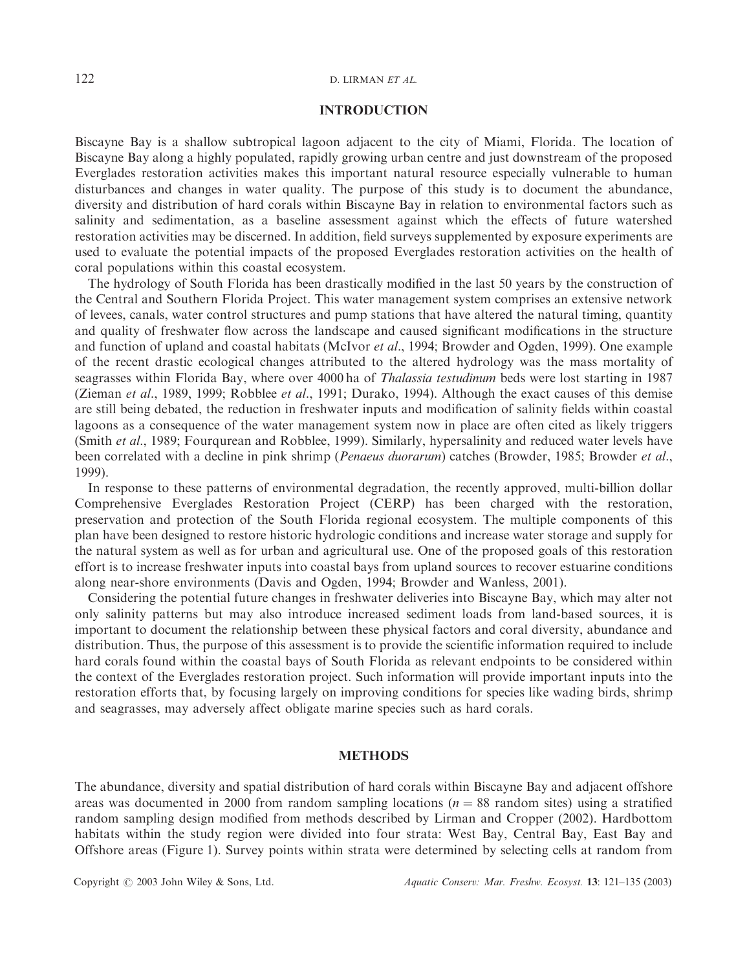# 122 D. LIRMAN ET AL.

# INTRODUCTION

Biscayne Bay is a shallow subtropical lagoon adjacent to the city of Miami, Florida. The location of Biscayne Bay along a highly populated, rapidly growing urban centre and just downstream of the proposed Everglades restoration activities makes this important natural resource especially vulnerable to human disturbances and changes in water quality. The purpose of this study is to document the abundance, diversity and distribution of hard corals within Biscayne Bay in relation to environmental factors such as salinity and sedimentation, as a baseline assessment against which the effects of future watershed restoration activities may be discerned. In addition, field surveys supplemented by exposure experiments are used to evaluate the potential impacts of the proposed Everglades restoration activities on the health of coral populations within this coastal ecosystem.

The hydrology of South Florida has been drastically modified in the last 50 years by the construction of the Central and Southern Florida Project. This water management system comprises an extensive network of levees, canals, water control structures and pump stations that have altered the natural timing, quantity and quality of freshwater flow across the landscape and caused significant modifications in the structure and function of upland and coastal habitats (McIvor et al., 1994; Browder and Ogden, 1999). One example of the recent drastic ecological changes attributed to the altered hydrology was the mass mortality of seagrasses within Florida Bay, where over 4000 ha of *Thalassia testudinum* beds were lost starting in 1987 (Zieman et al., 1989, 1999; Robblee et al., 1991; Durako, 1994). Although the exact causes of this demise are still being debated, the reduction in freshwater inputs and modification of salinity fields within coastal lagoons as a consequence of the water management system now in place are often cited as likely triggers (Smith et al., 1989; Fourqurean and Robblee, 1999). Similarly, hypersalinity and reduced water levels have been correlated with a decline in pink shrimp (*Penaeus duorarum*) catches (Browder, 1985; Browder *et al.*, 1999).

In response to these patterns of environmental degradation, the recently approved, multi-billion dollar Comprehensive Everglades Restoration Project (CERP) has been charged with the restoration, preservation and protection of the South Florida regional ecosystem. The multiple components of this plan have been designed to restore historic hydrologic conditions and increase water storage and supply for the natural system as well as for urban and agricultural use. One of the proposed goals of this restoration effort is to increase freshwater inputs into coastal bays from upland sources to recover estuarine conditions along near-shore environments (Davis and Ogden, 1994; Browder and Wanless, 2001).

Considering the potential future changes in freshwater deliveries into Biscayne Bay, which may alter not only salinity patterns but may also introduce increased sediment loads from land-based sources, it is important to document the relationship between these physical factors and coral diversity, abundance and distribution. Thus, the purpose of this assessment is to provide the scientific information required to include hard corals found within the coastal bays of South Florida as relevant endpoints to be considered within the context of the Everglades restoration project. Such information will provide important inputs into the restoration efforts that, by focusing largely on improving conditions for species like wading birds, shrimp and seagrasses, may adversely affect obligate marine species such as hard corals.

# **METHODS**

The abundance, diversity and spatial distribution of hard corals within Biscayne Bay and adjacent offshore areas was documented in 2000 from random sampling locations ( $n = 88$  random sites) using a stratified random sampling design modified from methods described by Lirman and Cropper (2002). Hardbottom habitats within the study region were divided into four strata: West Bay, Central Bay, East Bay and Offshore areas (Figure 1). Survey points within strata were determined by selecting cells at random from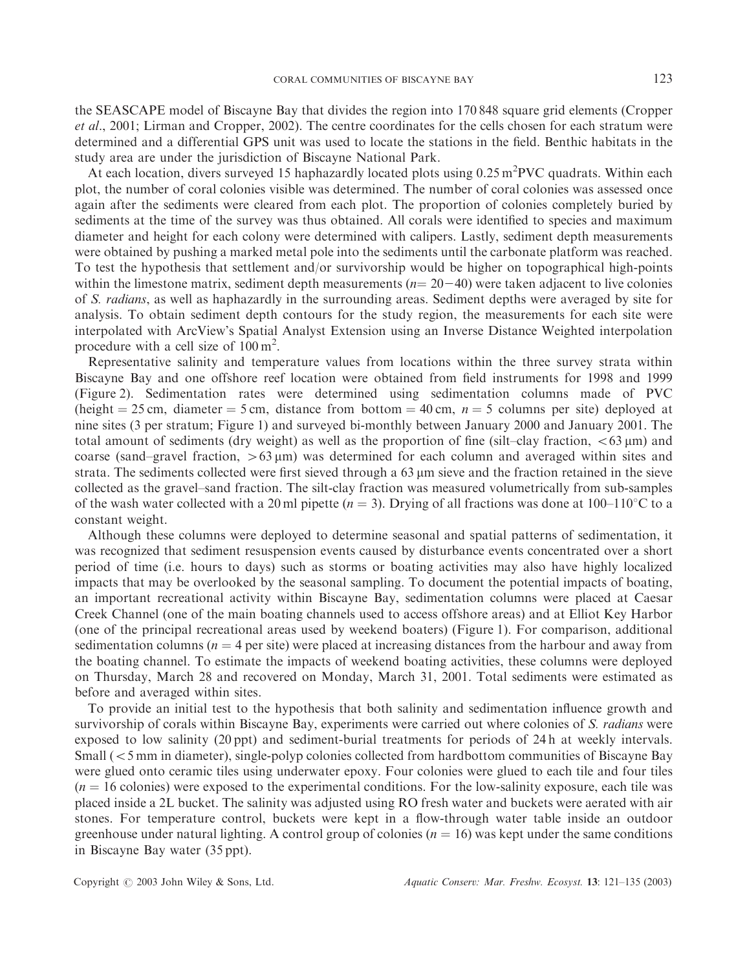the SEASCAPE model of Biscayne Bay that divides the region into 170 848 square grid elements (Cropper et al., 2001; Lirman and Cropper, 2002). The centre coordinates for the cells chosen for each stratum were determined and a differential GPS unit was used to locate the stations in the field. Benthic habitats in the study area are under the jurisdiction of Biscayne National Park.

At each location, divers surveyed 15 haphazardly located plots using 0.25 m<sup>2</sup>PVC quadrats. Within each plot, the number of coral colonies visible was determined. The number of coral colonies was assessed once again after the sediments were cleared from each plot. The proportion of colonies completely buried by sediments at the time of the survey was thus obtained. All corals were identified to species and maximum diameter and height for each colony were determined with calipers. Lastly, sediment depth measurements were obtained by pushing a marked metal pole into the sediments until the carbonate platform was reached. To test the hypothesis that settlement and/or survivorship would be higher on topographical high-points within the limestone matrix, sediment depth measurements  $(n=20-40)$  were taken adjacent to live colonies of S. radians, as well as haphazardly in the surrounding areas. Sediment depths were averaged by site for analysis. To obtain sediment depth contours for the study region, the measurements for each site were interpolated with ArcView's Spatial Analyst Extension using an Inverse Distance Weighted interpolation procedure with a cell size of  $100 \text{ m}^2$ .

Representative salinity and temperature values from locations within the three survey strata within Biscayne Bay and one offshore reef location were obtained from field instruments for 1998 and 1999 (Figure 2). Sedimentation rates were determined using sedimentation columns made of PVC (height = 25 cm, diameter = 5 cm, distance from bottom = 40 cm,  $n = 5$  columns per site) deployed at nine sites (3 per stratum; Figure 1) and surveyed bi-monthly between January 2000 and January 2001. The total amount of sediments (dry weight) as well as the proportion of fine (silt–clay fraction,  $\lt 63 \text{ µm}$ ) and coarse (sand–gravel fraction,  $>63 \mu m$ ) was determined for each column and averaged within sites and strata. The sediments collected were first sieved through a  $63 \mu m$  sieve and the fraction retained in the sieve collected as the gravel–sand fraction. The silt-clay fraction was measured volumetrically from sub-samples of the wash water collected with a 20 ml pipette  $(n = 3)$ . Drying of all fractions was done at 100–110°C to a constant weight.

Although these columns were deployed to determine seasonal and spatial patterns of sedimentation, it was recognized that sediment resuspension events caused by disturbance events concentrated over a short period of time (i.e. hours to days) such as storms or boating activities may also have highly localized impacts that may be overlooked by the seasonal sampling. To document the potential impacts of boating, an important recreational activity within Biscayne Bay, sedimentation columns were placed at Caesar Creek Channel (one of the main boating channels used to access offshore areas) and at Elliot Key Harbor (one of the principal recreational areas used by weekend boaters) (Figure 1). For comparison, additional sedimentation columns ( $n = 4$  per site) were placed at increasing distances from the harbour and away from the boating channel. To estimate the impacts of weekend boating activities, these columns were deployed on Thursday, March 28 and recovered on Monday, March 31, 2001. Total sediments were estimated as before and averaged within sites.

To provide an initial test to the hypothesis that both salinity and sedimentation influence growth and survivorship of corals within Biscayne Bay, experiments were carried out where colonies of S. *radians* were exposed to low salinity (20 ppt) and sediment-burial treatments for periods of 24 h at weekly intervals. Small (55 mm in diameter), single-polyp colonies collected from hardbottom communities of Biscayne Bay were glued onto ceramic tiles using underwater epoxy. Four colonies were glued to each tile and four tiles  $(n = 16$  colonies) were exposed to the experimental conditions. For the low-salinity exposure, each tile was placed inside a 2L bucket. The salinity was adjusted using RO fresh water and buckets were aerated with air stones. For temperature control, buckets were kept in a flow-through water table inside an outdoor greenhouse under natural lighting. A control group of colonies  $(n = 16)$  was kept under the same conditions in Biscayne Bay water (35 ppt).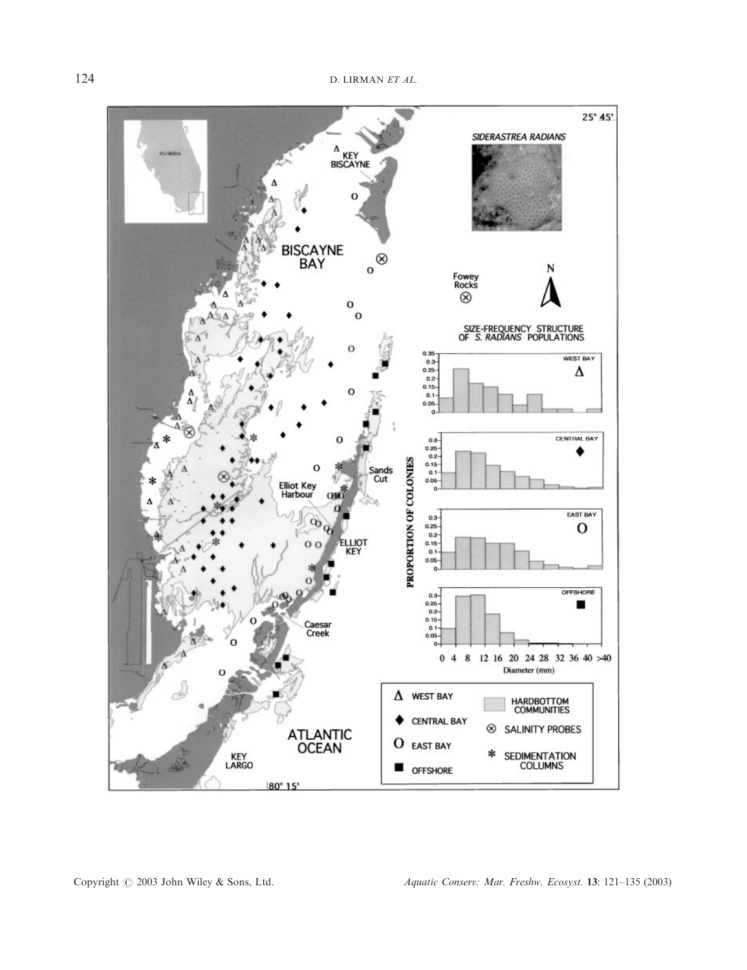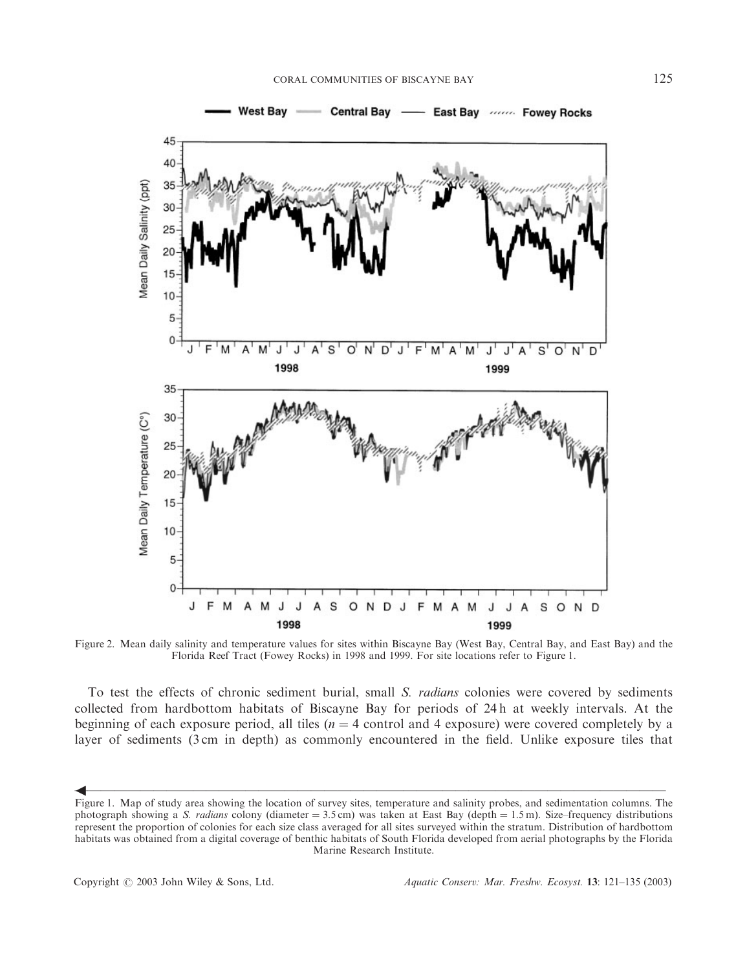

Figure 2. Mean daily salinity and temperature values for sites within Biscayne Bay (West Bay, Central Bay, and East Bay) and the Florida Reef Tract (Fowey Rocks) in 1998 and 1999. For site locations refer to Figure 1.

To test the effects of chronic sediment burial, small S. *radians* colonies were covered by sediments collected from hardbottom habitats of Biscayne Bay for periods of 24 h at weekly intervals. At the beginning of each exposure period, all tiles ( $n = 4$  control and 4 exposure) were covered completely by a layer of sediments (3 cm in depth) as commonly encountered in the field. Unlike exposure tiles that

 $\blacklozenge$  and the contract of the contract of the contract of the contract of the contract of the contract of the contract of the contract of the contract of the contract of the contract of the contract of the contract of t

4

Figure 1. Map of study area showing the location of survey sites, temperature and salinity probes, and sedimentation columns. The photograph showing a S. radians colony (diameter  $= 3.5$  cm) was taken at East Bay (depth  $= 1.5$  m). Size-frequency distributions represent the proportion of colonies for each size class averaged for all sites surveyed within the stratum. Distribution of hardbottom habitats was obtained from a digital coverage of benthic habitats of South Florida developed from aerial photographs by the Florida Marine Research Institute.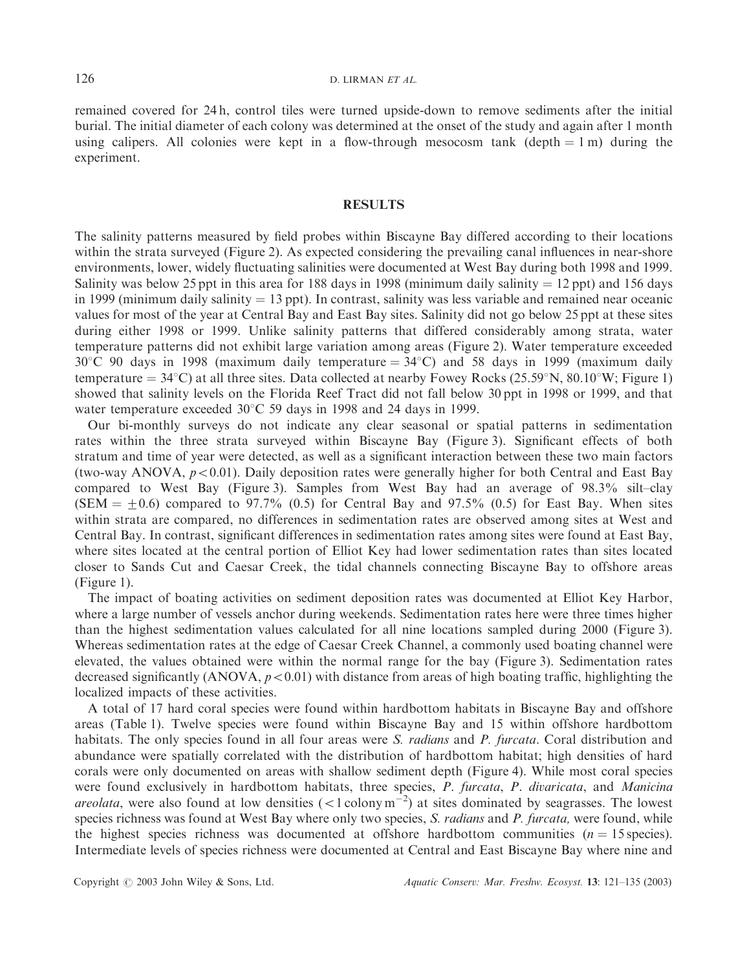remained covered for 24 h, control tiles were turned upside-down to remove sediments after the initial burial. The initial diameter of each colony was determined at the onset of the study and again after 1 month using calipers. All colonies were kept in a flow-through mesocosm tank (depth  $= 1$  m) during the experiment.

# RESULTS

The salinity patterns measured by field probes within Biscayne Bay differed according to their locations within the strata surveyed (Figure 2). As expected considering the prevailing canal influences in near-shore environments, lower, widely fluctuating salinities were documented at West Bay during both 1998 and 1999. Salinity was below 25 ppt in this area for 188 days in 1998 (minimum daily salinity  $= 12$  ppt) and 156 days in 1999 (minimum daily salinity  $= 13$  ppt). In contrast, salinity was less variable and remained near oceanic values for most of the year at Central Bay and East Bay sites. Salinity did not go below 25 ppt at these sites during either 1998 or 1999. Unlike salinity patterns that differed considerably among strata, water temperature patterns did not exhibit large variation among areas (Figure 2). Water temperature exceeded  $30^{\circ}$ C 90 days in 1998 (maximum daily temperature =  $34^{\circ}$ C) and 58 days in 1999 (maximum daily temperature =  $34^{\circ}$ C) at all three sites. Data collected at nearby Fowey Rocks (25.59°N, 80.10°W; Figure 1) showed that salinity levels on the Florida Reef Tract did not fall below 30 ppt in 1998 or 1999, and that water temperature exceeded  $30^{\circ}$ C 59 days in 1998 and 24 days in 1999.

Our bi-monthly surveys do not indicate any clear seasonal or spatial patterns in sedimentation rates within the three strata surveyed within Biscayne Bay (Figure 3). Significant effects of both stratum and time of year were detected, as well as a significant interaction between these two main factors (two-way ANOVA,  $p < 0.01$ ). Daily deposition rates were generally higher for both Central and East Bay compared to West Bay (Figure 3). Samples from West Bay had an average of 98.3% silt–clay  $(SEM = +0.6)$  compared to 97.7% (0.5) for Central Bay and 97.5% (0.5) for East Bay. When sites within strata are compared, no differences in sedimentation rates are observed among sites at West and Central Bay. In contrast, significant differences in sedimentation rates among sites were found at East Bay, where sites located at the central portion of Elliot Key had lower sedimentation rates than sites located closer to Sands Cut and Caesar Creek, the tidal channels connecting Biscayne Bay to offshore areas (Figure 1).

The impact of boating activities on sediment deposition rates was documented at Elliot Key Harbor, where a large number of vessels anchor during weekends. Sedimentation rates here were three times higher than the highest sedimentation values calculated for all nine locations sampled during 2000 (Figure 3). Whereas sedimentation rates at the edge of Caesar Creek Channel, a commonly used boating channel were elevated, the values obtained were within the normal range for the bay (Figure 3). Sedimentation rates decreased significantly (ANOVA,  $p<0.01$ ) with distance from areas of high boating traffic, highlighting the localized impacts of these activities.

A total of 17 hard coral species were found within hardbottom habitats in Biscayne Bay and offshore areas (Table 1). Twelve species were found within Biscayne Bay and 15 within offshore hardbottom habitats. The only species found in all four areas were S. *radians* and P. furcata. Coral distribution and abundance were spatially correlated with the distribution of hardbottom habitat; high densities of hard corals were only documented on areas with shallow sediment depth (Figure 4). While most coral species were found exclusively in hardbottom habitats, three species, P. furcata, P. divaricata, and Manicina *areolata*, were also found at low densities  $(<1$  colony m<sup>-2</sup>) at sites dominated by seagrasses. The lowest species richness was found at West Bay where only two species, S. *radians* and P. furcata, were found, while the highest species richness was documented at offshore hardbottom communities  $(n = 15 \text{ species})$ . Intermediate levels of species richness were documented at Central and East Biscayne Bay where nine and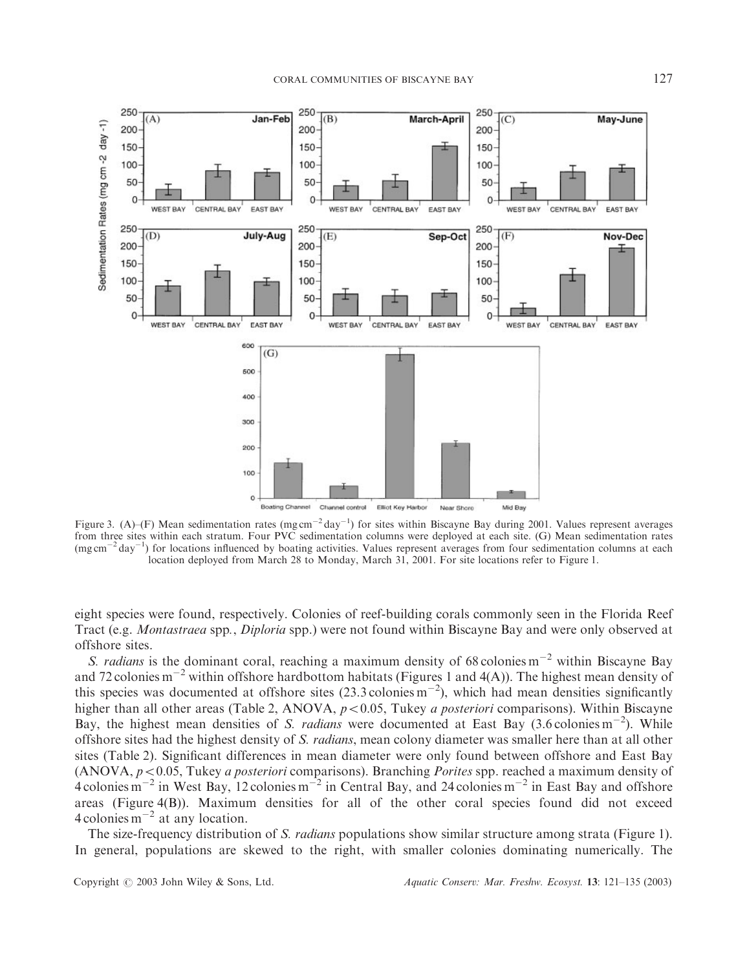

Figure 3. (A)–(F) Mean sedimentation rates (mg cm<sup>-2</sup> day<sup>-1</sup>) for sites within Biscayne Bay during 2001. Values represent averages from three sites within each stratum. Four PVC sedimentation columns were deployed at each site. (G) Mean sedimentation rates (mg cm<sup>-2</sup> day<sup>-1</sup>) for locations influenced by boating activities. Values represent averages from four sedimentation columns at each location deployed from March 28 to Monday, March 31, 2001. For site locations refer to Figure 1.

eight species were found, respectively. Colonies of reef-building corals commonly seen in the Florida Reef Tract (e.g. Montastraea spp., Diploria spp.) were not found within Biscayne Bay and were only observed at offshore sites.

S. radians is the dominant coral, reaching a maximum density of 68 colonies  $m^{-2}$  within Biscayne Bay and 72 colonies  $m^{-2}$  within offshore hardbottom habitats (Figures 1 and 4(A)). The highest mean density of this species was documented at offshore sites  $(23.3 \text{ colonies m}^{-2})$ , which had mean densities significantly higher than all other areas (Table 2, ANOVA,  $p<0.05$ , Tukey *a posteriori* comparisons). Within Biscayne Bay, the highest mean densities of S. radians were documented at East Bay  $(3.6 \text{ colonies m}^{-2})$ . While offshore sites had the highest density of S. radians, mean colony diameter was smaller here than at all other sites (Table 2). Significant differences in mean diameter were only found between offshore and East Bay (ANOVA,  $p<0.05$ , Tukey *a posteriori* comparisons). Branching *Porites* spp. reached a maximum density of 4 colonies  $m^{-2}$  in West Bay, 12 colonies  $m^{-2}$  in Central Bay, and 24 colonies  $m^{-2}$  in East Bay and offshore areas (Figure 4(B)). Maximum densities for all of the other coral species found did not exceed 4 colonies  $m^{-2}$  at any location.

The size-frequency distribution of S. *radians* populations show similar structure among strata (Figure 1). In general, populations are skewed to the right, with smaller colonies dominating numerically. The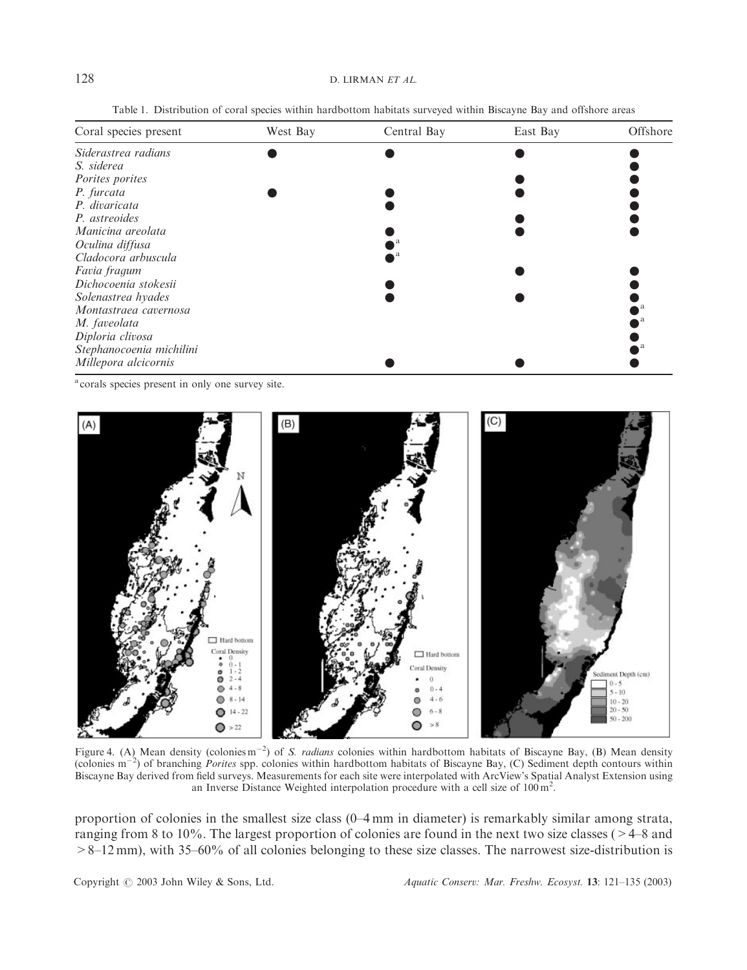Table 1. Distribution of coral species within hardbottom habitats surveyed within Biscayne Bay and offshore areas

| Coral species present    | West Bay | Central Bay | East Bay | Offshore |
|--------------------------|----------|-------------|----------|----------|
| Siderastrea radians      |          |             |          |          |
| S. siderea               |          |             |          |          |
| Porites porites          |          |             |          |          |
| P. furcata               |          |             |          |          |
| P. divaricata            |          |             |          |          |
| P. astreoides            |          |             |          |          |
| Manicina areolata        |          |             |          |          |
| Oculina diffusa          |          |             |          |          |
| Cladocora arbuscula      |          |             |          |          |
| Favia fragum             |          |             |          |          |
| Dichocoenia stokesii     |          |             |          |          |
| Solenastrea hyades       |          |             |          |          |
| Montastraea cavernosa    |          |             |          |          |
| M. faveolata             |          |             |          |          |
| Diploria clivosa         |          |             |          |          |
| Stephanocoenia michilini |          |             |          |          |
| Millepora alcicornis     |          |             |          |          |

<sup>a</sup> corals species present in only one survey site.



Figure 4. (A) Mean density (colonies m<sup>-2</sup>) of S. radians colonies within hardbottom habitats of Biscayne Bay, (B) Mean density (colonies  $m^{-2}$ ) of branching *Porites* spp. colonies within hardbottom habitats of Biscayne Bay, (C) Sediment depth contours within Biscayne Bay derived from field surveys. Measurements for each site were interpolated with ArcView's Spatial Analyst Extension using an Inverse Distance Weighted interpolation procedure with a cell size of  $100 \text{ m}^2$ .

proportion of colonies in the smallest size class (0–4 mm in diameter) is remarkably similar among strata, ranging from 8 to 10%. The largest proportion of colonies are found in the next two size classes (>4–8 and >8–12 mm), with 35–60% of all colonies belonging to these size classes. The narrowest size-distribution is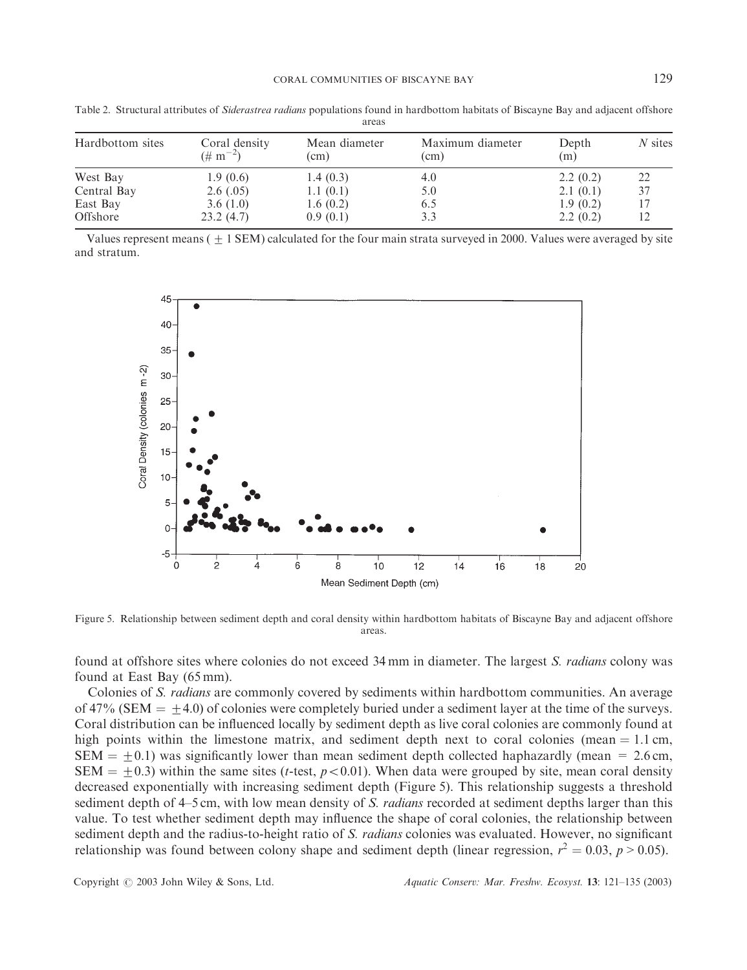| .                |                                        |                       |                          |              |           |  |  |  |
|------------------|----------------------------------------|-----------------------|--------------------------|--------------|-----------|--|--|--|
| Hardbottom sites | Coral density<br>$(\# \text{ m}^{-2})$ | Mean diameter<br>(cm) | Maximum diameter<br>(cm) | Depth<br>(m) | $N$ sites |  |  |  |
| West Bay         | 1.9(0.6)                               | 1.4(0.3)              | 4.0                      | 2.2(0.2)     | 22        |  |  |  |
| Central Bay      | 2.6(.05)                               | 1.1(0.1)              | 5.0                      | 2.1(0.1)     | 37        |  |  |  |
| East Bay         | 3.6(1.0)                               | 1.6(0.2)              | 6.5                      | 1.9(0.2)     |           |  |  |  |
| Offshore         | 23.2(4.7)                              | 0.9(0.1)              | 3.3                      | 2.2(0.2)     |           |  |  |  |

Table 2. Structural attributes of Siderastrea radians populations found in hardbottom habitats of Biscayne Bay and adjacent offshore areas

Values represent means  $( + 1$  SEM) calculated for the four main strata surveyed in 2000. Values were averaged by site and stratum.



Figure 5. Relationship between sediment depth and coral density within hardbottom habitats of Biscayne Bay and adjacent offshore areas.

found at offshore sites where colonies do not exceed 34 mm in diameter. The largest S. *radians* colony was found at East Bay (65 mm).

Colonies of S. radians are commonly covered by sediments within hardbottom communities. An average of 47% (SEM  $= \pm 4.0$ ) of colonies were completely buried under a sediment layer at the time of the surveys. Coral distribution can be influenced locally by sediment depth as live coral colonies are commonly found at high points within the limestone matrix, and sediment depth next to coral colonies (mean  $= 1.1$  cm,  $SEM = +0.1$ ) was significantly lower than mean sediment depth collected haphazardly (mean = 2.6 cm, SEM =  $\pm$ 0.3) within the same sites (t-test, p<0.01). When data were grouped by site, mean coral density decreased exponentially with increasing sediment depth (Figure 5). This relationship suggests a threshold sediment depth of 4–5 cm, with low mean density of S. *radians* recorded at sediment depths larger than this value. To test whether sediment depth may influence the shape of coral colonies, the relationship between sediment depth and the radius-to-height ratio of S. *radians* colonies was evaluated. However, no significant relationship was found between colony shape and sediment depth (linear regression,  $r^2 = 0.03$ ,  $p > 0.05$ ).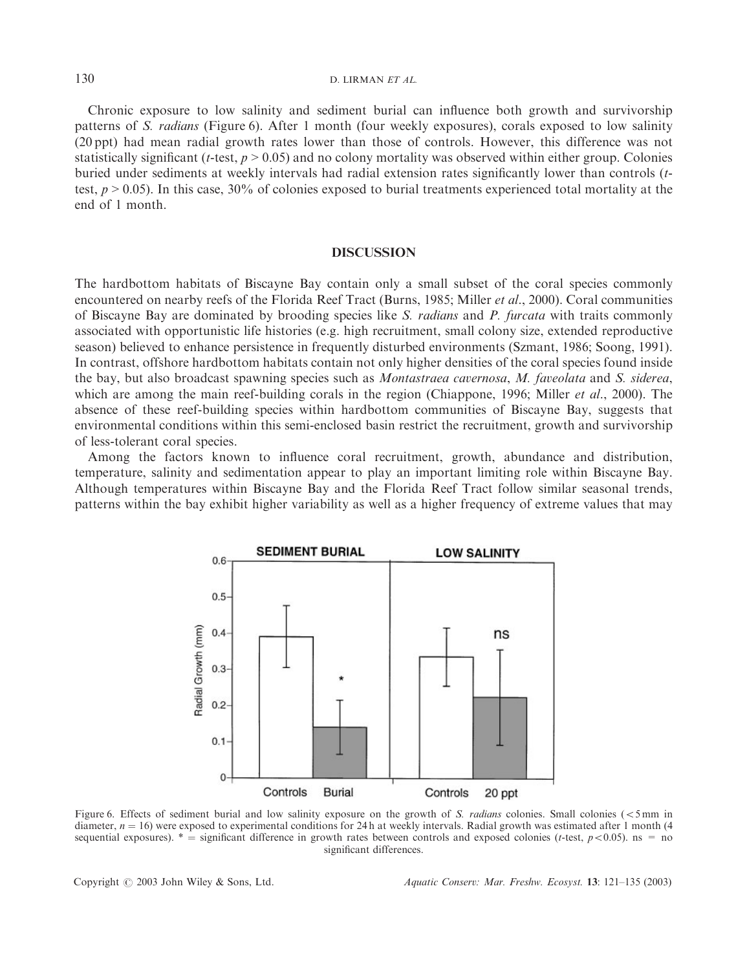# $130$  D. LIRMAN *ET AL.*

Chronic exposure to low salinity and sediment burial can influence both growth and survivorship patterns of S. radians (Figure 6). After 1 month (four weekly exposures), corals exposed to low salinity (20 ppt) had mean radial growth rates lower than those of controls. However, this difference was not statistically significant (*t*-test,  $p > 0.05$ ) and no colony mortality was observed within either group. Colonies buried under sediments at weekly intervals had radial extension rates significantly lower than controls (ttest,  $p > 0.05$ ). In this case, 30% of colonies exposed to burial treatments experienced total mortality at the end of 1 month.

#### **DISCUSSION**

The hardbottom habitats of Biscayne Bay contain only a small subset of the coral species commonly encountered on nearby reefs of the Florida Reef Tract (Burns, 1985; Miller *et al.*, 2000). Coral communities of Biscayne Bay are dominated by brooding species like S. radians and P. furcata with traits commonly associated with opportunistic life histories (e.g. high recruitment, small colony size, extended reproductive season) believed to enhance persistence in frequently disturbed environments (Szmant, 1986; Soong, 1991). In contrast, offshore hardbottom habitats contain not only higher densities of the coral species found inside the bay, but also broadcast spawning species such as Montastraea cavernosa, M. faveolata and S. siderea, which are among the main reef-building corals in the region (Chiappone, 1996; Miller *et al.*, 2000). The absence of these reef-building species within hardbottom communities of Biscayne Bay, suggests that environmental conditions within this semi-enclosed basin restrict the recruitment, growth and survivorship of less-tolerant coral species.

Among the factors known to influence coral recruitment, growth, abundance and distribution, temperature, salinity and sedimentation appear to play an important limiting role within Biscayne Bay. Although temperatures within Biscayne Bay and the Florida Reef Tract follow similar seasonal trends, patterns within the bay exhibit higher variability as well as a higher frequency of extreme values that may



Figure 6. Effects of sediment burial and low salinity exposure on the growth of S. radians colonies. Small colonies  $\langle$  <5mm in diameter,  $n = 16$ ) were exposed to experimental conditions for 24 h at weekly intervals. Radial growth was estimated after 1 month (4) sequential exposures).  $* =$  significant difference in growth rates between controls and exposed colonies (t-test,  $p < 0.05$ ). ns = no significant differences.

Copyright  $\circled{c}$  2003 John Wiley & Sons, Ltd. Aquatic Conserv: Mar. Freshw. Ecosyst. 13: 121–135 (2003)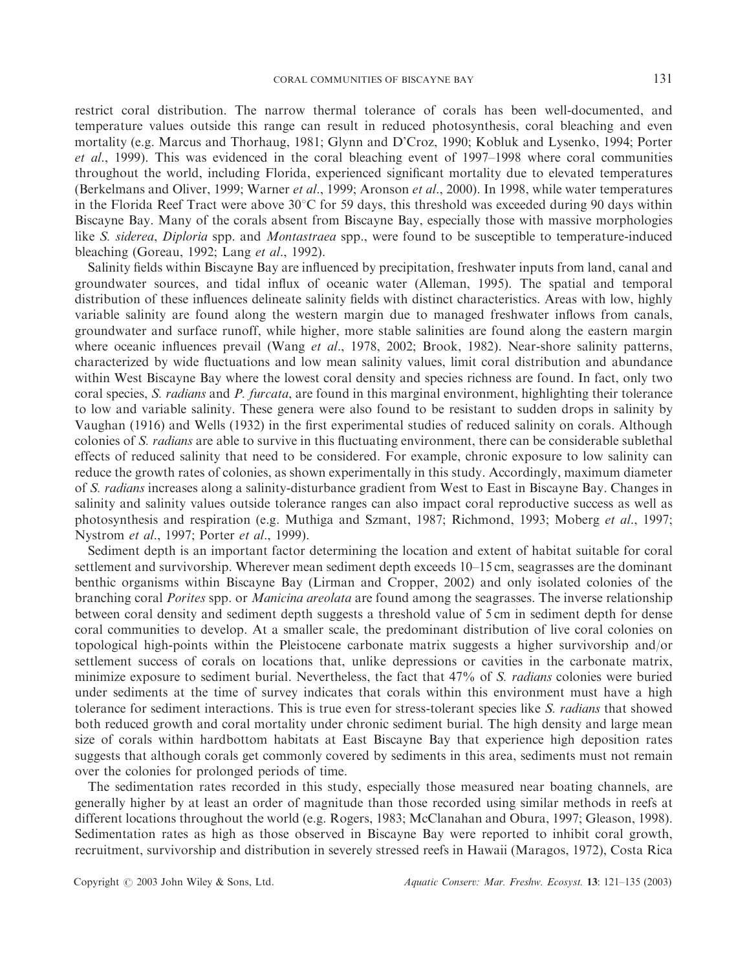restrict coral distribution. The narrow thermal tolerance of corals has been well-documented, and temperature values outside this range can result in reduced photosynthesis, coral bleaching and even mortality (e.g. Marcus and Thorhaug, 1981; Glynn and D'Croz, 1990; Kobluk and Lysenko, 1994; Porter et al., 1999). This was evidenced in the coral bleaching event of 1997–1998 where coral communities throughout the world, including Florida, experienced significant mortality due to elevated temperatures (Berkelmans and Oliver, 1999; Warner et al., 1999; Aronson et al., 2000). In 1998, while water temperatures in the Florida Reef Tract were above  $30^{\circ}$ C for 59 days, this threshold was exceeded during 90 days within Biscayne Bay. Many of the corals absent from Biscayne Bay, especially those with massive morphologies like *S. siderea, Diploria* spp. and *Montastraea* spp., were found to be susceptible to temperature-induced bleaching (Goreau, 1992; Lang et al., 1992).

Salinity fields within Biscayne Bay are influenced by precipitation, freshwater inputs from land, canal and groundwater sources, and tidal influx of oceanic water (Alleman, 1995). The spatial and temporal distribution of these influences delineate salinity fields with distinct characteristics. Areas with low, highly variable salinity are found along the western margin due to managed freshwater inflows from canals, groundwater and surface runoff, while higher, more stable salinities are found along the eastern margin where oceanic influences prevail (Wang et al., 1978, 2002; Brook, 1982). Near-shore salinity patterns, characterized by wide fluctuations and low mean salinity values, limit coral distribution and abundance within West Biscayne Bay where the lowest coral density and species richness are found. In fact, only two coral species, S. *radians* and P. furcata, are found in this marginal environment, highlighting their tolerance to low and variable salinity. These genera were also found to be resistant to sudden drops in salinity by Vaughan (1916) and Wells (1932) in the first experimental studies of reduced salinity on corals. Although colonies of S. *radians* are able to survive in this fluctuating environment, there can be considerable sublethal effects of reduced salinity that need to be considered. For example, chronic exposure to low salinity can reduce the growth rates of colonies, as shown experimentally in this study. Accordingly, maximum diameter of S. radians increases along a salinity-disturbance gradient from West to East in Biscayne Bay. Changes in salinity and salinity values outside tolerance ranges can also impact coral reproductive success as well as photosynthesis and respiration (e.g. Muthiga and Szmant, 1987; Richmond, 1993; Moberg et al., 1997; Nystrom et al., 1997; Porter et al., 1999).

Sediment depth is an important factor determining the location and extent of habitat suitable for coral settlement and survivorship. Wherever mean sediment depth exceeds 10–15 cm, seagrasses are the dominant benthic organisms within Biscayne Bay (Lirman and Cropper, 2002) and only isolated colonies of the branching coral *Porites* spp. or *Manicina areolata* are found among the seagrasses. The inverse relationship between coral density and sediment depth suggests a threshold value of 5 cm in sediment depth for dense coral communities to develop. At a smaller scale, the predominant distribution of live coral colonies on topological high-points within the Pleistocene carbonate matrix suggests a higher survivorship and/or settlement success of corals on locations that, unlike depressions or cavities in the carbonate matrix, minimize exposure to sediment burial. Nevertheless, the fact that 47% of S. *radians* colonies were buried under sediments at the time of survey indicates that corals within this environment must have a high tolerance for sediment interactions. This is true even for stress-tolerant species like S. radians that showed both reduced growth and coral mortality under chronic sediment burial. The high density and large mean size of corals within hardbottom habitats at East Biscayne Bay that experience high deposition rates suggests that although corals get commonly covered by sediments in this area, sediments must not remain over the colonies for prolonged periods of time.

The sedimentation rates recorded in this study, especially those measured near boating channels, are generally higher by at least an order of magnitude than those recorded using similar methods in reefs at different locations throughout the world (e.g. Rogers, 1983; McClanahan and Obura, 1997; Gleason, 1998). Sedimentation rates as high as those observed in Biscayne Bay were reported to inhibit coral growth, recruitment, survivorship and distribution in severely stressed reefs in Hawaii (Maragos, 1972), Costa Rica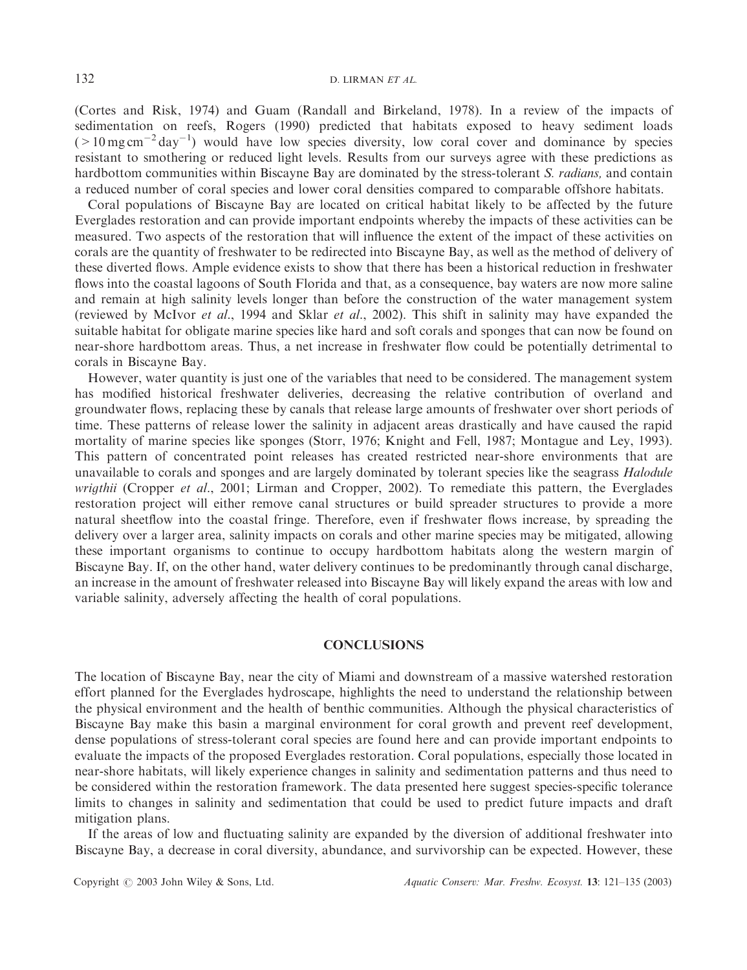(Cortes and Risk, 1974) and Guam (Randall and Birkeland, 1978). In a review of the impacts of sedimentation on reefs, Rogers (1990) predicted that habitats exposed to heavy sediment loads  $($  > 10 mg cm<sup>-2</sup> day<sup>-1</sup>) would have low species diversity, low coral cover and dominance by species resistant to smothering or reduced light levels. Results from our surveys agree with these predictions as hardbottom communities within Biscayne Bay are dominated by the stress-tolerant S. *radians*, and contain a reduced number of coral species and lower coral densities compared to comparable offshore habitats.

Coral populations of Biscayne Bay are located on critical habitat likely to be affected by the future Everglades restoration and can provide important endpoints whereby the impacts of these activities can be measured. Two aspects of the restoration that will influence the extent of the impact of these activities on corals are the quantity of freshwater to be redirected into Biscayne Bay, as well as the method of delivery of these diverted flows. Ample evidence exists to show that there has been a historical reduction in freshwater flows into the coastal lagoons of South Florida and that, as a consequence, bay waters are now more saline and remain at high salinity levels longer than before the construction of the water management system (reviewed by McIvor et al., 1994 and Sklar et al., 2002). This shift in salinity may have expanded the suitable habitat for obligate marine species like hard and soft corals and sponges that can now be found on near-shore hardbottom areas. Thus, a net increase in freshwater flow could be potentially detrimental to corals in Biscayne Bay.

However, water quantity is just one of the variables that need to be considered. The management system has modified historical freshwater deliveries, decreasing the relative contribution of overland and groundwater flows, replacing these by canals that release large amounts of freshwater over short periods of time. These patterns of release lower the salinity in adjacent areas drastically and have caused the rapid mortality of marine species like sponges (Storr, 1976; Knight and Fell, 1987; Montague and Ley, 1993). This pattern of concentrated point releases has created restricted near-shore environments that are unavailable to corals and sponges and are largely dominated by tolerant species like the seagrass Halodule wrigthii (Cropper et al., 2001; Lirman and Cropper, 2002). To remediate this pattern, the Everglades restoration project will either remove canal structures or build spreader structures to provide a more natural sheetflow into the coastal fringe. Therefore, even if freshwater flows increase, by spreading the delivery over a larger area, salinity impacts on corals and other marine species may be mitigated, allowing these important organisms to continue to occupy hardbottom habitats along the western margin of Biscayne Bay. If, on the other hand, water delivery continues to be predominantly through canal discharge, an increase in the amount of freshwater released into Biscayne Bay will likely expand the areas with low and variable salinity, adversely affecting the health of coral populations.

## **CONCLUSIONS**

The location of Biscayne Bay, near the city of Miami and downstream of a massive watershed restoration effort planned for the Everglades hydroscape, highlights the need to understand the relationship between the physical environment and the health of benthic communities. Although the physical characteristics of Biscayne Bay make this basin a marginal environment for coral growth and prevent reef development, dense populations of stress-tolerant coral species are found here and can provide important endpoints to evaluate the impacts of the proposed Everglades restoration. Coral populations, especially those located in near-shore habitats, will likely experience changes in salinity and sedimentation patterns and thus need to be considered within the restoration framework. The data presented here suggest species-specific tolerance limits to changes in salinity and sedimentation that could be used to predict future impacts and draft mitigation plans.

If the areas of low and fluctuating salinity are expanded by the diversion of additional freshwater into Biscayne Bay, a decrease in coral diversity, abundance, and survivorship can be expected. However, these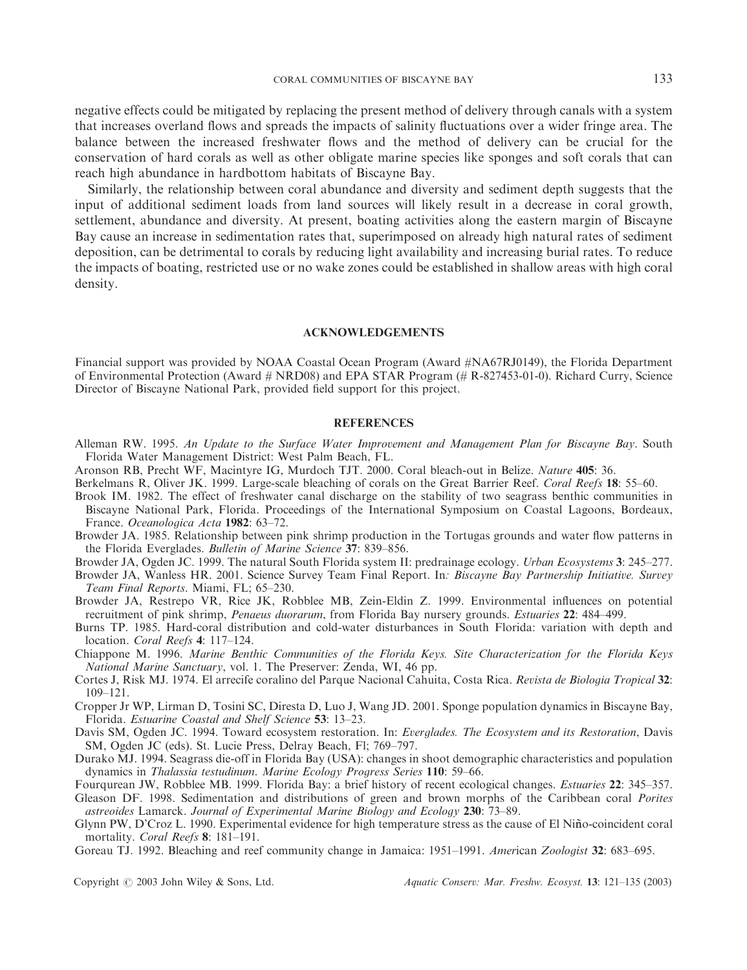negative effects could be mitigated by replacing the present method of delivery through canals with a system that increases overland flows and spreads the impacts of salinity fluctuations over a wider fringe area. The balance between the increased freshwater flows and the method of delivery can be crucial for the conservation of hard corals as well as other obligate marine species like sponges and soft corals that can reach high abundance in hardbottom habitats of Biscayne Bay.

Similarly, the relationship between coral abundance and diversity and sediment depth suggests that the input of additional sediment loads from land sources will likely result in a decrease in coral growth, settlement, abundance and diversity. At present, boating activities along the eastern margin of Biscayne Bay cause an increase in sedimentation rates that, superimposed on already high natural rates of sediment deposition, can be detrimental to corals by reducing light availability and increasing burial rates. To reduce the impacts of boating, restricted use or no wake zones could be established in shallow areas with high coral density.

#### ACKNOWLEDGEMENTS

Financial support was provided by NOAA Coastal Ocean Program (Award #NA67RJ0149), the Florida Department of Environmental Protection (Award # NRD08) and EPA STAR Program (# R-827453-01-0). Richard Curry, Science Director of Biscayne National Park, provided field support for this project.

#### **REFERENCES**

- Alleman RW. 1995. An Update to the Surface Water Improvement and Management Plan for Biscayne Bay. South Florida Water Management District: West Palm Beach, FL.
- Aronson RB, Precht WF, Macintyre IG, Murdoch TJT. 2000. Coral bleach-out in Belize. Nature 405: 36.
- Berkelmans R, Oliver JK. 1999. Large-scale bleaching of corals on the Great Barrier Reef. Coral Reefs 18: 55–60.
- Brook IM. 1982. The effect of freshwater canal discharge on the stability of two seagrass benthic communities in Biscayne National Park, Florida. Proceedings of the International Symposium on Coastal Lagoons, Bordeaux, France. Oceanologica Acta 1982: 63–72.
- Browder JA. 1985. Relationship between pink shrimp production in the Tortugas grounds and water flow patterns in the Florida Everglades. Bulletin of Marine Science 37: 839–856.

Browder JA, Ogden JC. 1999. The natural South Florida system II: predrainage ecology. Urban Ecosystems 3: 245–277.

Browder JA, Wanless HR. 2001. Science Survey Team Final Report. In: Biscayne Bay Partnership Initiative. Survey Team Final Reports. Miami, FL; 65–230.

Browder JA, Restrepo VR, Rice JK, Robblee MB, Zein-Eldin Z. 1999. Environmental influences on potential recruitment of pink shrimp, Penaeus duorarum, from Florida Bay nursery grounds. Estuaries 22: 484–499.

Burns TP. 1985. Hard-coral distribution and cold-water disturbances in South Florida: variation with depth and location. Coral Reefs 4: 117–124.

Chiappone M. 1996. Marine Benthic Communities of the Florida Keys. Site Characterization for the Florida Keys National Marine Sanctuary, vol. 1. The Preserver: Zenda, WI, 46 pp.

- Cortes J, Risk MJ. 1974. El arrecife coralino del Parque Nacional Cahuita, Costa Rica. Revista de Biologia Tropical 32: 109–121.
- Cropper Jr WP, Lirman D, Tosini SC, Diresta D, Luo J, Wang JD. 2001. Sponge population dynamics in Biscayne Bay, Florida. Estuarine Coastal and Shelf Science 53: 13–23.

Davis SM, Ogden JC. 1994. Toward ecosystem restoration. In: Everglades. The Ecosystem and its Restoration, Davis SM, Ogden JC (eds). St. Lucie Press, Delray Beach, Fl; 769–797.

- Durako MJ. 1994. Seagrass die-off in Florida Bay (USA): changes in shoot demographic characteristics and population dynamics in Thalassia testudinum. Marine Ecology Progress Series 110: 59–66.
- Fourqurean JW, Robblee MB. 1999. Florida Bay: a brief history of recent ecological changes. *Estuaries* 22: 345–357.

Gleason DF. 1998. Sedimentation and distributions of green and brown morphs of the Caribbean coral Porites astreoides Lamarck. Journal of Experimental Marine Biology and Ecology 230: 73–89.

Glynn PW, D'Croz L. 1990. Experimental evidence for high temperature stress as the cause of El Nino-coincident coral \* mortality. Coral Reefs 8: 181-191.

Goreau TJ. 1992. Bleaching and reef community change in Jamaica: 1951–1991. American Zoologist 32: 683–695.

Copyright  $\circled{c}$  2003 John Wiley & Sons, Ltd. Aquatic Conserv: Mar. Freshw. Ecosyst. 13: 121–135 (2003)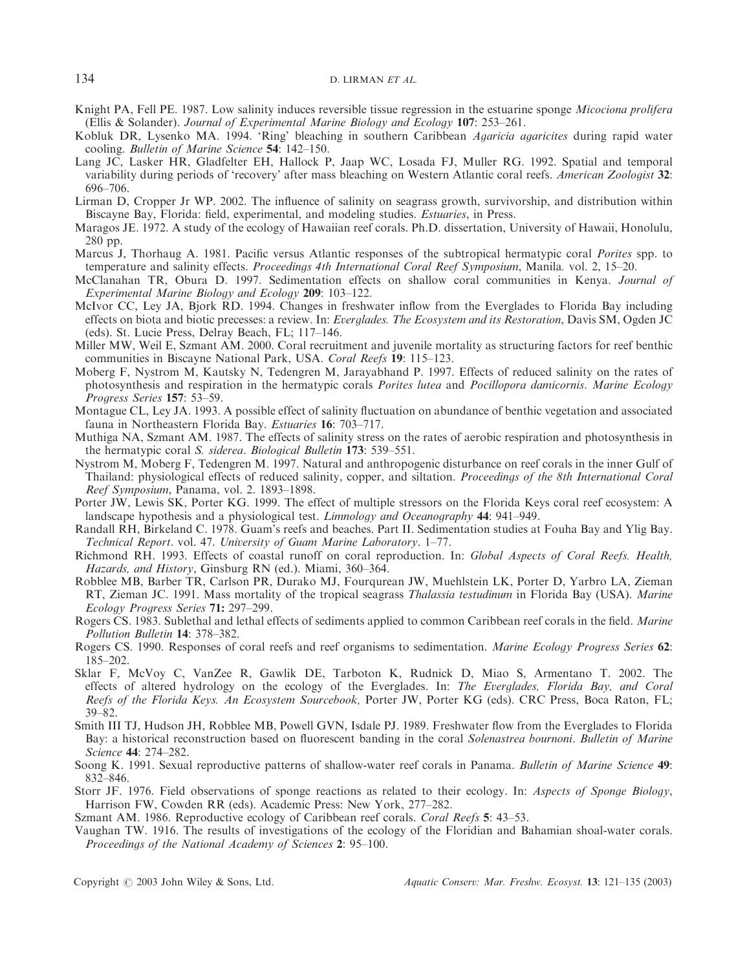- Knight PA, Fell PE. 1987. Low salinity induces reversible tissue regression in the estuarine sponge *Micociona prolifera* (Ellis & Solander). Journal of Experimental Marine Biology and Ecology 107: 253–261.
- Kobluk DR, Lysenko MA. 1994. 'Ring' bleaching in southern Caribbean Agaricia agaricites during rapid water cooling. Bulletin of Marine Science 54: 142–150.
- Lang JC, Lasker HR, Gladfelter EH, Hallock P, Jaap WC, Losada FJ, Muller RG. 1992. Spatial and temporal variability during periods of 'recovery' after mass bleaching on Western Atlantic coral reefs. American Zoologist 32: 696–706.
- Lirman D, Cropper Jr WP. 2002. The influence of salinity on seagrass growth, survivorship, and distribution within Biscayne Bay, Florida: field, experimental, and modeling studies. Estuaries, in Press.
- Maragos JE. 1972. A study of the ecology of Hawaiian reef corals. Ph.D. dissertation, University of Hawaii, Honolulu, 280 pp.
- Marcus J, Thorhaug A. 1981. Pacific versus Atlantic responses of the subtropical hermatypic coral Porites spp. to temperature and salinity effects. Proceedings 4th International Coral Reef Symposium, Manila. vol. 2, 15–20.
- McClanahan TR, Obura D. 1997. Sedimentation effects on shallow coral communities in Kenya. Journal of Experimental Marine Biology and Ecology 209: 103–122.
- McIvor CC, Ley JA, Bjork RD. 1994. Changes in freshwater inflow from the Everglades to Florida Bay including effects on biota and biotic precesses: a review. In: Everglades. The Ecosystem and its Restoration, Davis SM, Ogden JC (eds). St. Lucie Press, Delray Beach, FL; 117–146.
- Miller MW, Weil E, Szmant AM. 2000. Coral recruitment and juvenile mortality as structuring factors for reef benthic communities in Biscayne National Park, USA. Coral Reefs 19: 115–123.
- Moberg F, Nystrom M, Kautsky N, Tedengren M, Jarayabhand P. 1997. Effects of reduced salinity on the rates of photosynthesis and respiration in the hermatypic corals Porites lutea and Pocillopora damicornis. Marine Ecology Progress Series 157: 53–59.
- Montague CL, Ley JA. 1993. A possible effect of salinity fluctuation on abundance of benthic vegetation and associated fauna in Northeastern Florida Bay. Estuaries 16: 703–717.
- Muthiga NA, Szmant AM. 1987. The effects of salinity stress on the rates of aerobic respiration and photosynthesis in the hermatypic coral S. siderea. Biological Bulletin 173: 539–551.
- Nystrom M, Moberg F, Tedengren M. 1997. Natural and anthropogenic disturbance on reef corals in the inner Gulf of Thailand: physiological effects of reduced salinity, copper, and siltation. Proceedings of the 8th International Coral Reef Symposium, Panama, vol. 2. 1893–1898.
- Porter JW, Lewis SK, Porter KG. 1999. The effect of multiple stressors on the Florida Keys coral reef ecosystem: A landscape hypothesis and a physiological test. *Limnology and Oceanography* 44: 941–949.
- Randall RH, Birkeland C. 1978. Guam's reefs and beaches. Part II. Sedimentation studies at Fouha Bay and Ylig Bay. Technical Report. vol. 47. University of Guam Marine Laboratory. 1–77.

Richmond RH. 1993. Effects of coastal runoff on coral reproduction. In: Global Aspects of Coral Reefs. Health, Hazards, and History, Ginsburg RN (ed.). Miami, 360–364.

- Robblee MB, Barber TR, Carlson PR, Durako MJ, Fourqurean JW, Muehlstein LK, Porter D, Yarbro LA, Zieman RT, Zieman JC. 1991. Mass mortality of the tropical seagrass Thalassia testudinum in Florida Bay (USA). Marine Ecology Progress Series 71: 297–299.
- Rogers CS. 1983. Sublethal and lethal effects of sediments applied to common Caribbean reef corals in the field. Marine Pollution Bulletin 14: 378–382.
- Rogers CS. 1990. Responses of coral reefs and reef organisms to sedimentation. Marine Ecology Progress Series 62: 185–202.
- Sklar F, McVoy C, VanZee R, Gawlik DE, Tarboton K, Rudnick D, Miao S, Armentano T. 2002. The effects of altered hydrology on the ecology of the Everglades. In: The Everglades, Florida Bay, and Coral Reefs of the Florida Keys. An Ecosystem Sourcebook, Porter JW, Porter KG (eds). CRC Press, Boca Raton, FL; 39–82.
- Smith III TJ, Hudson JH, Robblee MB, Powell GVN, Isdale PJ. 1989. Freshwater flow from the Everglades to Florida Bay: a historical reconstruction based on fluorescent banding in the coral Solenastrea bournoni. Bulletin of Marine Science 44: 274–282.
- Soong K. 1991. Sexual reproductive patterns of shallow-water reef corals in Panama. Bulletin of Marine Science 49: 832–846.
- Storr JF. 1976. Field observations of sponge reactions as related to their ecology. In: Aspects of Sponge Biology, Harrison FW, Cowden RR (eds). Academic Press: New York, 277–282.
- Szmant AM. 1986. Reproductive ecology of Caribbean reef corals. Coral Reefs 5: 43–53.
- Vaughan TW. 1916. The results of investigations of the ecology of the Floridian and Bahamian shoal-water corals. Proceedings of the National Academy of Sciences *2*: 95–100.